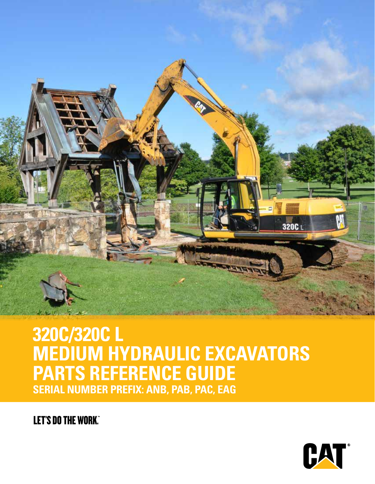

## **320C/320C L MEDIUM HYDRAULIC EXCAVATORS PARTS REFERENCE GUIDE SERIAL NUMBER PREFIX: ANB, PAB, PAC, EAG**

**LET'S DO THE WORK"** 

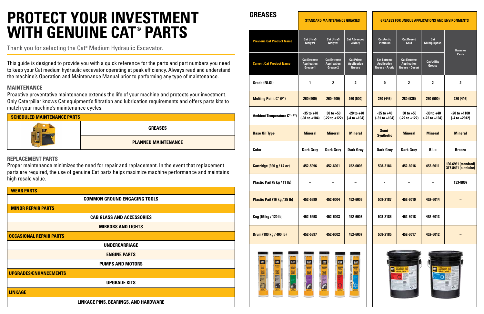| <b>SCHEDULED MAINTENANCE PARTS</b> |                            |
|------------------------------------|----------------------------|
|                                    | <b>GREASES</b>             |
|                                    | <b>PLANNED MAINTENANCE</b> |

This guide is designed to provide you with a quick reference for the parts and part numbers you need to keep your Cat medium hydraulic excavator operating at peak efficiency. Always read and understand the machine's Operation and Maintenance Manual prior to performing any type of maintenance.

#### **MAINTENANCE**

Proactive preventative maintenance extends the life of your machine and protects your investment. Only Caterpillar knows Cat equipment's filtration and lubrication requirements and offers parts kits to match your machine's maintenance cycles.

#### **REPLACEMENT PARTS**

Proper maintenance minimizes the need for repair and replacement. In the event that replacement parts are required, the use of genuine Cat parts helps maximize machine performance and maintains high resale value.

Thank you for selecting the Cat**®** Medium Hydraulic Excavator.

## **PROTECT YOUR INVESTMENT WITH GENUINE CAT® PARTS**



| <b>WEAR PARTS</b>                    |
|--------------------------------------|
| <b>COMMON GROUND ENGAGING TOOLS</b>  |
| <b>MINOR REPAIR PARTS</b>            |
| <b>CAB GLASS AND ACCESSORIES</b>     |
| <b>MIRRORS AND LIGHTS</b>            |
| <b>OCCASIONAL REPAIR PARTS</b>       |
| <b>UNDERCARRIAGE</b>                 |
| <b>ENGINE PARTS</b>                  |
| <b>PUMPS AND MOTORS</b>              |
| <b>UPGRADES/ENHANCEMENTS</b>         |
| <b>UPGRADE KITS</b>                  |
| <b>LINKAGE</b>                       |
| LINKAGE PINS, BEARINGS, AND HARDWARE |

**GREASES**

#### **STANDARD MAINTENANCE GREASES GREASES FOR UNIQUE APPLICATIONS AND ENVIRONMENTS**

| <b>Previous Cat Product Name</b> | <b>Cat Ultra5</b><br>Moly #1                         | <b>Cat Ultra5</b><br>Moly #2                         | <b>Cat Advanced</b><br>3 Moly                    | <b>Cat Arctic</b><br><b>Platinum</b>                               | <b>Cat Desert</b><br>Gold                                          | Cat<br><b>Multipurpose</b>          | <b>Hammer</b>                              |
|----------------------------------|------------------------------------------------------|------------------------------------------------------|--------------------------------------------------|--------------------------------------------------------------------|--------------------------------------------------------------------|-------------------------------------|--------------------------------------------|
| <b>Current Cat Product Name</b>  | <b>Cat Extreme</b><br><b>Application</b><br>Grease 1 | <b>Cat Extreme</b><br><b>Application</b><br>Grease 2 | <b>Cat Prime</b><br><b>Application</b><br>Grease | <b>Cat Extreme</b><br><b>Application</b><br><b>Grease - Arctic</b> | <b>Cat Extreme</b><br><b>Application</b><br><b>Grease - Desert</b> | <b>Cat Utility</b><br><b>Grease</b> | <b>Paste</b>                               |
| <b>Grade (NLGI)</b>              | 1                                                    | $\mathbf{2}$                                         | $\mathbf{2}$                                     | 0                                                                  | $\mathbf{2}$                                                       | 2                                   | $\mathbf 2$                                |
| <b>Melting Point C° (F°)</b>     | 260 (500)                                            | 260(500)                                             | 260(500)                                         | 230 (446)                                                          | 280 (536)                                                          | 260 (500)                           | 230 (446)                                  |
| Ambient Temperature C° (F°)      | $-35$ to $+40$<br>$(-31 to +104)$                    | $30$ to $+50$<br>(-22 to +122)                       | $-20$ to $+40$<br>$(-4 to +104)$                 | $-35$ to $+40$<br>$(-31 to +104)$                                  | $30$ to $+50$<br>$(-22 to +122)$                                   | $-30$ to $+40$<br>$(-22 to +104)$   | $-20$ to $+1100$<br>$(-4 to +2012)$        |
| <b>Base Oil Type</b>             | <b>Mineral</b>                                       | <b>Mineral</b>                                       | <b>Mineral</b>                                   | Semi-<br><b>Synthetic</b>                                          | <b>Mineral</b>                                                     | <b>Mineral</b>                      | <b>Mineral</b>                             |
| Color                            | <b>Dark Grey</b>                                     | <b>Dark Grey</b>                                     | <b>Dark Grey</b>                                 | <b>Dark Grey</b>                                                   | <b>Dark Grey</b>                                                   | <b>Blue</b>                         | <b>Bronze</b>                              |
| Cartridge (390 g / 14 oz)        | 452-5996                                             | 452-6001                                             | 452-6006                                         | 508-2184                                                           | 452-6016                                                           | 452-6011                            | 130-6951 (standard)<br>317-8491 (autolube) |
| Plastic Pail (5 kg / 11 lb)      |                                                      |                                                      |                                                  |                                                                    |                                                                    |                                     | 133-8807                                   |
| Plastic Pail (16 kg / 35 lb)     | 452-5999                                             | 452-6004                                             | 452-6009                                         | 508-2187                                                           | 452-6019                                                           | 452-6014                            |                                            |
| Keg (55 kg / 120 lb)             | 452-5998                                             | 452-6003                                             | 452-6008                                         | 508-2186                                                           | 452-6018                                                           | 452-6013                            |                                            |
| Drum (180 kg / 400 lb)           | 452-5997                                             | 452-6002                                             | 452-6007                                         | 508-2185                                                           | 452-6017                                                           | 452-6012                            |                                            |





| <b>Previous Cat Product Name</b>   | <b>Cat Ultra5</b><br>Moly #1                         | <b>Cat Ultra5</b><br>Moly #2                         | <b>Cat Advanced</b><br>3 Moly                           | <b>Cat Arctic</b><br><b>Platinum</b>                               | <b>Cat Desert</b><br>Gold                                          | Cat<br><b>Multipurpose</b>        | <b>Hammer</b>                     |
|------------------------------------|------------------------------------------------------|------------------------------------------------------|---------------------------------------------------------|--------------------------------------------------------------------|--------------------------------------------------------------------|-----------------------------------|-----------------------------------|
| <b>Current Cat Product Name</b>    | <b>Cat Extreme</b><br><b>Application</b><br>Grease 1 | <b>Cat Extreme</b><br><b>Application</b><br>Grease 2 | <b>Cat Prime</b><br><b>Application</b><br><b>Grease</b> | <b>Cat Extreme</b><br><b>Application</b><br><b>Grease - Arctic</b> | <b>Cat Extreme</b><br><b>Application</b><br><b>Grease - Desert</b> | <b>Cat Utility</b><br>Grease      | <b>Paste</b>                      |
| <b>Grade (NLGI)</b>                | 1                                                    | $\mathbf 2$                                          | $\mathbf 2$                                             | 0                                                                  | 2                                                                  | 2                                 | $\mathbf 2$                       |
| <b>Melting Point C° (F°)</b>       | 260 (500)                                            | 260 (500)                                            | 260 (500)                                               | 230 (446)                                                          | 280 (536)                                                          | 260(500)                          | 230 (446)                         |
| <b>Ambient Temperature C° (F°)</b> | $-35$ to $+40$<br>$(-31 to +104)$                    | $30$ to $+50$<br>$(-22 to +122)$                     | $-20$ to $+40$<br>$(-4 to +104)$                        | $-35$ to $+40$<br>$(-31 to +104)$                                  | $30$ to $+50$<br>$(-22 to +122)$                                   | $-30$ to $+40$<br>$(-22 to +104)$ | $-20$ to $+110$<br>$(-4 to +201)$ |
| <b>Base Oil Type</b>               | <b>Mineral</b>                                       | <b>Mineral</b>                                       | <b>Mineral</b>                                          | Semi-<br><b>Synthetic</b>                                          | <b>Mineral</b>                                                     | <b>Mineral</b>                    | <b>Mineral</b>                    |
| <b>Color</b>                       | <b>Dark Grey</b>                                     | <b>Dark Grey</b>                                     | <b>Dark Grey</b>                                        | <b>Dark Grey</b>                                                   | <b>Dark Grey</b>                                                   | <b>Blue</b>                       | <b>Bronze</b>                     |
| <b>Cartridge (390 g / 14 oz)</b>   | 452-5996                                             | 452-6001                                             | 452-6006                                                | 508-2184                                                           | 452-6016                                                           | 452-6011                          | 130-6951 (stan<br>317-8491 (auto  |
| Plastic Pail (5 kg / 11 lb)        | $\overline{\phantom{0}}$                             | —                                                    |                                                         |                                                                    | $\overline{\phantom{0}}$                                           | -                                 | 133-8807                          |
| Plastic Pail (16 kg / 35 lb)       | 452-5999                                             | 452-6004                                             | 452-6009                                                | 508-2187                                                           | 452-6019                                                           | 452-6014                          |                                   |
| Keg (55 kg / 120 lb)               | 452-5998                                             | 452-6003                                             | 452-6008                                                | 508-2186                                                           | 452-6018                                                           | 452-6013                          |                                   |
| Drum (180 kg / 400 lb)             | 452-5997                                             | 452-6002                                             | 452-6007                                                | 508-2185                                                           | 452-6017                                                           | 452-6012                          |                                   |
| 62-608<br>認明<br>CAT<br>BAT         | CAT                                                  | $182 - 40$<br>CAT<br>CAT                             | CAT                                                     |                                                                    | <b>Cut Extreme</b>                                                 | <b>Cat Extreme</b>                |                                   |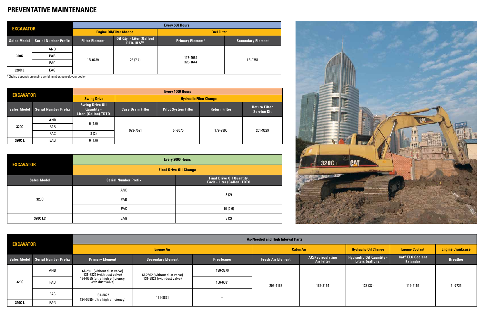| <b>EXCAVATOR</b> |                             | <b>Every 500 Hours</b> |                                             |                         |                          |  |  |
|------------------|-----------------------------|------------------------|---------------------------------------------|-------------------------|--------------------------|--|--|
|                  |                             |                        | <b>Engine Oil/Filter Change</b>             | <b>Fuel Filter</b>      |                          |  |  |
| Sales Model      | <b>Serial Number Prefix</b> | <b>Filter Element</b>  | Oil Qty - Liter (Gallon)<br><b>DEO-ULS™</b> | <b>Primary Element*</b> | <b>Secondary Element</b> |  |  |
| 320C             | ANB                         | 1R-0739                | 28(7.4)                                     | 117-4089<br>326-1644    | 1R-0751                  |  |  |
|                  | <b>PAB</b>                  |                        |                                             |                         |                          |  |  |
|                  | <b>PAC</b>                  |                        |                                             |                         |                          |  |  |
| 320C L           | EAG                         |                        |                                             |                         |                          |  |  |

| <b>EXCAVATOR</b> |                             | <b>Every 1000 Hours</b>                                            |                                |                            |                      |                                            |  |  |
|------------------|-----------------------------|--------------------------------------------------------------------|--------------------------------|----------------------------|----------------------|--------------------------------------------|--|--|
|                  |                             | <b>Swing Drive</b>                                                 | <b>Hydraulic Filter Change</b> |                            |                      |                                            |  |  |
| Sales Model      | <b>Serial Number Prefix</b> | <b>Swing Drive Oil</b><br><b>Quantity -</b><br>Liter (Gallon) TDTO | <b>Case Drain Filter</b>       | <b>Pilot System Filter</b> | <b>Return Filter</b> | <b>Return Filter</b><br><b>Service Kit</b> |  |  |
| 320C             | ANB                         | 6(1.6)<br>8(2)                                                     | 093-7521                       | 51-8670                    | 179-9806             | 201-9229                                   |  |  |
|                  | <b>PAB</b>                  |                                                                    |                                |                            |                      |                                            |  |  |
|                  | PAC                         |                                                                    |                                |                            |                      |                                            |  |  |
| 320CL            | EAG                         | 6(1.6)                                                             |                                |                            |                      |                                            |  |  |

#### **PREVENTATIVE MAINTENANCE**

\*Choice depends on engine serial number, consult your dealer

| <b>EXCAVATOR</b>   | <b>Every 2000 Hours</b>       |                                                         |  |  |  |  |
|--------------------|-------------------------------|---------------------------------------------------------|--|--|--|--|
|                    | <b>Final Drive Oil Change</b> |                                                         |  |  |  |  |
| <b>Sales Model</b> | <b>Serial Number Prefix</b>   | Final Drive Oil Quantity,<br>Each - Liter (Gallon) TDTO |  |  |  |  |
|                    | ANB                           | 8(2)                                                    |  |  |  |  |
| 320C               | PAB                           |                                                         |  |  |  |  |
|                    | <b>PAC</b>                    | 10(2.6)                                                 |  |  |  |  |
| 320C LC            | EAG                           | 8(2)                                                    |  |  |  |  |



| <b>EXCAVATOR</b> |                                  | <b>As-Needed and High Interval Parts</b>                                                                           |                              |                          |                             |                                              |                                                      |                                                       |                 |  |
|------------------|----------------------------------|--------------------------------------------------------------------------------------------------------------------|------------------------------|--------------------------|-----------------------------|----------------------------------------------|------------------------------------------------------|-------------------------------------------------------|-----------------|--|
|                  |                                  |                                                                                                                    | <b>Cabin Air</b>             |                          | <b>Hydraulic Oil Change</b> | <b>Engine Coolant</b>                        | <b>Engine Crankcase</b>                              |                                                       |                 |  |
|                  | Sales Model Serial Number Prefix | <b>Primary Element</b>                                                                                             | <b>Secondary Element</b>     | <b>Precleaner</b>        | <b>Fresh Air Element</b>    | <b>AC/Recirculating</b><br><b>Air Filter</b> | <b>Hydraulic Oil Quantity -<br/>Liters (gallons)</b> | <b>Cat<sup>®</sup> ELC Coolant</b><br><b>Extender</b> | <b>Breather</b> |  |
|                  | ANB                              | 6I-2501 (without dust valve)<br>131-8822 (with dust valve)<br>134-0685 (ultra high efficiency,<br>with dust valve) | 61-2502 (without dust valve) | 130-3279                 | 293-1183                    | 185-8154                                     | 138 (37)                                             | 119-5152                                              | $51 - 7725$     |  |
| 320C             | PAB                              |                                                                                                                    | 131-8821 (with dust valve)   | 156-6681                 |                             |                                              |                                                      |                                                       |                 |  |
|                  | PAC                              | 131-8822                                                                                                           | 131-8821                     | $\overline{\phantom{0}}$ |                             |                                              |                                                      |                                                       |                 |  |
| 320CL            | EAG                              | 134-0685 (ultra high efficiency)                                                                                   |                              |                          |                             |                                              |                                                      |                                                       |                 |  |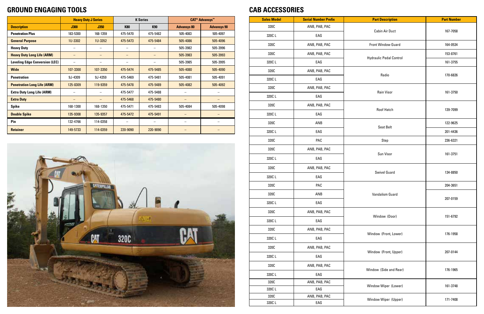|                                       |             | <b>Heavy Duty J Series</b> |            | <b>K Series</b> | <b>CAT<sup>®</sup> Advansys<sup>™</sup></b> |                    |
|---------------------------------------|-------------|----------------------------|------------|-----------------|---------------------------------------------|--------------------|
| <b>Description</b>                    | <b>J300</b> | <b>J350</b>                | <b>K80</b> | <b>K90</b>      | <b>Advansys 80</b>                          | <b>Advansys 90</b> |
| <b>Penetration Plus</b>               | 183-5300    | 168-1359                   | 475-5470   | 475-5482        | 505-4083                                    | 505-4097           |
| <b>General Purpose</b>                | 1U-3302     | 1U-3352                    | 475-5473   | 475-5484        | 505-4086                                    | 505-4096           |
| <b>Heavy Duty</b>                     | -           | $\overline{\phantom{0}}$   |            | -               | 505-3982                                    | 505-3996           |
| <b>Heavy Duty Long Life (ARM)</b>     |             |                            |            |                 | 505-3983                                    | 505-3993           |
| <b>Leveling Edge Conversion (LEC)</b> |             |                            |            |                 | 505-3985                                    | 505-3995           |
| <b>Wide</b>                           | 107-3300    | 107-3350                   | 475-5474   | 475-5485        | 505-4080                                    | 505-4090           |
| <b>Penetration</b>                    | 9J-4309     | 9J-4359                    | 475-5469   | 475-5481        | 505-4081                                    | 505-4091           |
| <b>Penetration Long Life (ARM)</b>    | 125-8309    | 119-9359                   | 475-5478   | 475-5489        | 505-4082                                    | 505-4092           |
| <b>Extra Duty Long Life (ARM)</b>     |             |                            | 475-5477   | 475-5488        |                                             |                    |
| <b>Extra Duty</b>                     |             |                            | 475-5468   | 475-5480        |                                             |                    |
| <b>Spike</b>                          | 168-1300    | 168-1350                   | 475-5471   | 475-5483        | 505-4084                                    | 505-4098           |
| <b>Double Spike</b>                   | 135-9308    | 135-9357                   | 475-5472   | 475-5491        |                                             |                    |
| Pin                                   | 132-4766    | 114-0358                   |            |                 |                                             |                    |
| <b>Retainer</b>                       | 149-5733    | 114-0359                   | 220-9090   | 220-9090        |                                             |                    |



#### **GROUND ENGAGING TOOLS CAB ACCESSORIES**

| <b>Sales Model</b> | <b>Serial Number Prefix</b> | <b>Part Description</b>        | <b>Part Number</b> |
|--------------------|-----------------------------|--------------------------------|--------------------|
| 320C               | ANB, PAB, PAC               |                                |                    |
| 320CL              | EAG                         | <b>Cabin Air Duct</b>          | 167-7058           |
| 320C               | ANB, PAB, PAC               | <b>Front Window Guard</b>      | 164-0534           |
| 320C               | ANB, PAB, PAC               |                                | 153-8761           |
| 320CL              | EAG                         | <b>Hydraulic Pedal Control</b> | 161-3755           |
| 320C               | ANB, PAB, PAC               | Radio                          | 170-6826           |
| 320CL              | EAG                         |                                |                    |
| 320C               | ANB, PAB, PAC               | Rain Visor                     |                    |
| 320CL              | EAG                         |                                | 161-3750           |
| 320C               | ANB, PAB, PAC               | <b>Roof Hatch</b>              | 139-7099           |
| 320CL              | EAG                         |                                |                    |
| 320C               | ANB                         |                                | 122-9625           |
| 320CL              | EAG                         | Seat Belt                      | 201-4436           |
| 320C               | PAC                         | Step                           | 236-6321           |
| 320C               | ANB, PAB, PAC               |                                |                    |
| 320CL              | EAG                         | Sun Visor                      | 161-3751           |
| 320C               | ANB, PAB, PAC               | <b>Swivel Guard</b>            | 134-8850           |
| 320CL              | EAG                         |                                |                    |
| 320C               | PAC                         |                                | 204-3651           |
| 320C               | ANB                         | Vandalism Guard                |                    |
| 320CL              | EAG                         |                                | 207-0159           |
| 320C               | ANB, PAB, PAC               |                                |                    |
| 320CL              | EAG                         | Window (Door)                  | 151-6792           |
| 320C               | ANB, PAB, PAC               |                                |                    |
| 320CL              | EAG                         | Window (Front, Lower)          | 176-1958           |
| 320C               | ANB, PAB, PAC               |                                |                    |
| 320CL              | EAG                         | Window (Front, Upper)          | 207-0144           |
| 320C               | ANB, PAB, PAC               | Window (Side and Rear)         | 176-1965           |
| 320CL              | EAG                         |                                |                    |
| 320C               | ANB, PAB, PAC               | Window Wiper (Lower)           | 161-3748           |
| 320CL              | EAG                         |                                |                    |
| 320C               | ANB, PAB, PAC               | Window Wiper (Upper)           | 171-7408           |
| 320CL              | EAG                         |                                |                    |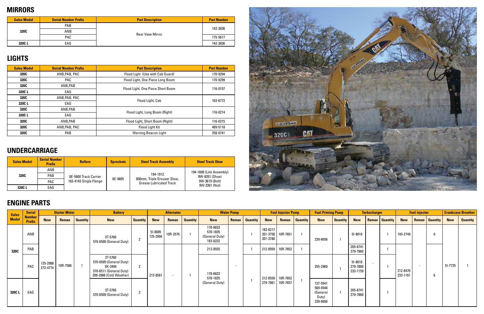#### **MIRRORS**

#### **LIGHTS**

#### **UNDERCARRIAGE**

| <b>Sales Model</b> | <b>Serial Number Prefix</b> | <b>Part Description</b> | <b>Part Number</b> |
|--------------------|-----------------------------|-------------------------|--------------------|
| 320C               | <b>PAB</b>                  |                         | 142-3836           |
|                    | ANB                         | <b>Rear View Mirror</b> |                    |
|                    | PAC.                        |                         | 175-5617           |
| 320CL              | EAG                         |                         | 142-3836           |

| <b>Sales Model</b> | <b>Serial Number Prefix</b> | <b>Part Description</b>           | <b>Part Number</b> |
|--------------------|-----------------------------|-----------------------------------|--------------------|
| 320C               | ANB, PAB, PAC               | Flood Light (Use with Cab Guard)  | 170-9294           |
| 320C               | <b>PAC</b>                  | Flood Light, One Piece Long Boom  | 170-9299           |
| 320C               | ANB, PAB                    |                                   |                    |
| 320CL              | EAG                         | Flood Light, One Piece Short Boom | 116-0157           |
| 320C               | ANB, PAB, PAC               |                                   | 163-6772           |
| 320C L             | EAG                         | Flood Light, Cab                  |                    |
| 320C               | ANB, PAB                    |                                   |                    |
| 320C L             | EAG                         | Flood Light, Long Boom (Right)    | 116-0214           |
| 320C               | ANB, PAB                    | Flood Light, Short Boom (Right)   | 116-0215           |
| 320C               | ANB.PAB. PAC                | <b>Flood Light Kit</b>            | 489-5118           |
| 320C               | <b>PAB</b>                  | <b>Warning Beacon Light</b>       | 258-0741           |

| <b>Sales Model</b> | <b>Serial Number</b><br><b>Prefix</b> | <b>Rollers</b>         | <b>Sprockets</b> | <b>Steel Track Assembly</b>                                   | <b>Steel Track Shoe</b>  |
|--------------------|---------------------------------------|------------------------|------------------|---------------------------------------------------------------|--------------------------|
|                    | ANB                                   |                        |                  |                                                               | 194-1608 (Link Assembly) |
| 320C               | <b>PAB</b>                            | 8E-5600 Track Carrier  | 8E-9805          | 194-1912                                                      | 9W-9351 (Shoe)           |
|                    | PAC                                   | 163-4143 Single Flange |                  | 800mm, Triple Grouser Shoe,<br><b>Grease Lubricated Track</b> | 9W-3619 (Bolt)           |
| 320CL              | EAG                                   |                        |                  |                                                               | 9W-3361 (Nut)            |

#### **ENGINE PARTS**

| <b>Sales</b> | <b>Serial</b>                  |                      | <b>Starter Motor</b> |                 | <b>Battery</b>                                                                                      |                 |                     | <b>Alternator</b> |                 |                                                    | <b>Water Pump</b> |                 |                                  | <b>Fuel Injector Pump</b> |                 | <b>Fuel Priming Pump</b>                              |                 |                                 | <b>Turbocharger</b> |                 |                      | <b>Fuel injector</b> |                 |            | <b>Crankcase Breather</b> |
|--------------|--------------------------------|----------------------|----------------------|-----------------|-----------------------------------------------------------------------------------------------------|-----------------|---------------------|-------------------|-----------------|----------------------------------------------------|-------------------|-----------------|----------------------------------|---------------------------|-----------------|-------------------------------------------------------|-----------------|---------------------------------|---------------------|-----------------|----------------------|----------------------|-----------------|------------|---------------------------|
| <b>Model</b> | <b>Number</b><br><b>Prefix</b> | <b>New</b>           | <b>Reman</b>         | <b>Quantity</b> | <b>New</b>                                                                                          | <b>Quantity</b> | <b>New</b>          | Reman             | <b>Quantity</b> | <b>New</b>                                         | <b>Reman</b>      | <b>Quantity</b> | <b>New</b>                       | Reman                     | <b>Quantity</b> | <b>New</b>                                            | <b>Quantity</b> | <b>New</b>                      | <b>Reman</b>        | <b>Quantity</b> | <b>New</b>           | <b>Reman</b>         | <b>Quantity</b> | <b>New</b> | <b>Quantity</b>           |
|              | ANB                            |                      |                      |                 | 3T-5760<br>570-6509 (General Duty)                                                                  | 2               | 51-8085<br>125-2994 | 10R-2576          |                 | 178-6633<br>578-1835<br>(General Duty)<br>183-8232 |                   |                 | 183-8217<br>201-3758<br>201-3780 | 10R-7651                  |                 | 239-6656                                              |                 | 51-8018                         |                     |                 | 193-2749             |                      |                 |            |                           |
| 320C         | PAB                            |                      |                      |                 |                                                                                                     |                 |                     |                   |                 | 212-8555                                           |                   |                 | 212-8559                         | 10R-7652                  |                 |                                                       |                 | 205-6741<br>279-7860            |                     |                 |                      |                      |                 |            |                           |
|              | PAC                            | 125-2988<br>272-4774 | 10R-7586             |                 | 3T-5760<br>570-6509 (General Duty)<br>9X-3404<br>570-6511 (General Duty)<br>209-2866 (Cold Weather) | $\overline{2}$  | 212-8561            |                   |                 | $\sim$<br>178-6633<br>578-1835                     |                   |                 | 212-8559                         | 10R-7652                  |                 | 255-2969                                              |                 | 51-8018<br>279-7860<br>233-1159 |                     |                 | 212-8470<br>233-1161 |                      |                 | 51-7725    |                           |
| 320CL        | EAG                            |                      |                      |                 | 3T-5760<br>570-6509 (General Duty)                                                                  | ົາ              |                     |                   |                 | (General Duty)                                     |                   |                 | 279-7861                         | 10R-7657                  |                 | 137-5541<br>569-4546<br>(General<br>Duty)<br>239-6656 |                 | 205-6741<br>279-7860            |                     |                 |                      |                      |                 |            |                           |

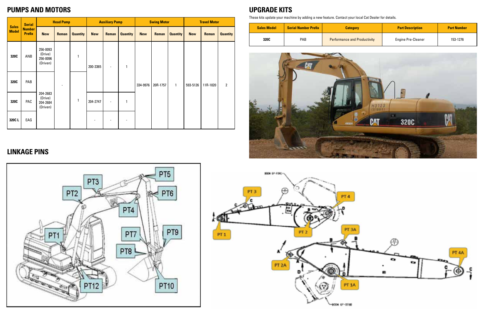#### **PUMPS AND MOTORS UPGRADE KITS**

|                              | <b>Serial</b>                  |                                             | <b>Head Pump</b> |                 | <b>Auxiliary Pump</b> |                          |                              |            | <b>Swing Motor</b> |                 |            | <b>Travel Motor</b> |                 |              |          |                          |   |  |  |  |  |  |  |
|------------------------------|--------------------------------|---------------------------------------------|------------------|-----------------|-----------------------|--------------------------|------------------------------|------------|--------------------|-----------------|------------|---------------------|-----------------|--------------|----------|--------------------------|---|--|--|--|--|--|--|
| <b>Sales</b><br><b>Model</b> | <b>Number</b><br><b>Prefix</b> | <b>New</b>                                  | <b>Reman</b>     | <b>Quantity</b> | <b>New</b>            | <b>Reman</b>             | <b>Quantity</b>              | <b>New</b> | <b>Reman</b>       | <b>Quantity</b> | <b>New</b> | Reman               | <b>Quantity</b> |              |          |                          |   |  |  |  |  |  |  |
| 320C                         | ANB                            | 256-0093<br>(Drive)<br>256-0096<br>(Driven) |                  | $\mathbf{1}$    | 200-3365              | $\overline{\phantom{a}}$ | $\mathbf{1}$                 |            |                    |                 |            |                     |                 |              |          |                          |   |  |  |  |  |  |  |
| 320C                         | PAB                            |                                             |                  |                 |                       |                          |                              | 334-9976   | 20R-1757           | 1               | 593-5126   | 11R-1020            | $\overline{2}$  |              |          |                          |   |  |  |  |  |  |  |
| 320C                         | PAC                            | 204-2683<br>(Drive)<br>204-2684<br>(Driven) |                  |                 |                       |                          |                              |            |                    |                 |            |                     |                 | $\mathbf{1}$ | 204-2747 | $\overline{\phantom{a}}$ | 1 |  |  |  |  |  |  |
| 320CL                        | EAG                            |                                             |                  |                 |                       |                          | $\qquad \qquad \blacksquare$ |            |                    |                 |            |                     |                 |              |          |                          |   |  |  |  |  |  |  |

These kits update your machine by adding a new feature. Contact your local Cat Dealer for details.

| <b>Sales Model</b> | <b>Serial Number Prefix</b> | <b>Category</b>                     | <b>Part Description</b>   | <b>Part Number</b> |
|--------------------|-----------------------------|-------------------------------------|---------------------------|--------------------|
| 320C               | <b>PAB</b>                  | <b>Performance and Productivity</b> | <b>Engine Pre-Cleaner</b> | 153-1276           |



#### **LINKAGE PINS**



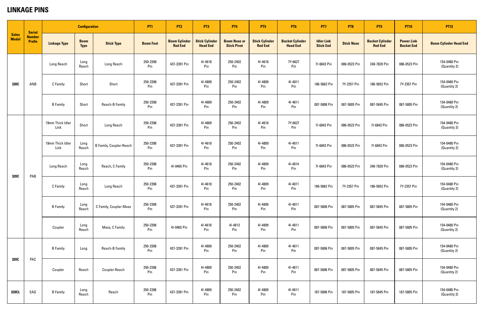#### **LINKAGE PINS**

| <b>Sales</b><br><b>Model</b> | <b>Serial</b>                  |                          | <b>Configuration</b>       |                                | <b>PT1</b>       | PT <sub>2</sub>                        | PT3                                      | <b>PT4</b>                                | PT <sub>5</sub>                         | <b>PT6</b>                                | <b>PT7</b>                            | PT <sub>8</sub>   | PT9                                      | <b>PT10</b>                            | <b>PT12</b>                   |
|------------------------------|--------------------------------|--------------------------|----------------------------|--------------------------------|------------------|----------------------------------------|------------------------------------------|-------------------------------------------|-----------------------------------------|-------------------------------------------|---------------------------------------|-------------------|------------------------------------------|----------------------------------------|-------------------------------|
|                              | <b>Number</b><br><b>Prefix</b> | <b>Linkage Type</b>      | <b>Boom</b><br><b>Type</b> | <b>Stick Type</b>              | <b>Boom Foot</b> | <b>Boom Cylinder</b><br><b>Rod End</b> | <b>Stick Cylinder</b><br><b>Head End</b> | <b>Boom Nose or</b><br><b>Stick Pivot</b> | <b>Stick Cylinder</b><br><b>Rod End</b> | <b>Bucket Cylinder</b><br><b>Head End</b> | <b>Idler Link</b><br><b>Stick End</b> | <b>Stick Nose</b> | <b>Bucket Cylinder</b><br><b>Rod End</b> | <b>Power Link</b><br><b>Bucket End</b> | <b>Boom Cylinder Head End</b> |
|                              |                                | Long Reach               | Long<br>Reach              | Long Reach                     | 250-2398<br>Pin  | 437-3391 Pin                           | 41-4618<br>Pin                           | 250-2402<br>Pin                           | 41-4618<br>Pin                          | 7Y-6627<br>Pin                            | 71-6843 Pin                           | 086-0523 Pin      | 248-7820 Pin                             | 086-0523 Pin                           | 154-0480 Pin<br>(Quantity 2)  |
| 320C                         | ANB                            | C Family                 | Short                      | Short                          | 250-2398<br>Pin  | 437-3391 Pin                           | 41-4809<br>Pin                           | 250-2402<br>Pin                           | 41-4809<br>Pin                          | 41-4811<br>Pin                            | 186-5662 Pin                          | 7Y-2357 Pin       | 186-5652 Pin                             | 7Y-2357 Pin                            | 154-0480 Pin<br>(Quantity 2)  |
|                              |                                | <b>B</b> Family          | Short                      | Reach-B Family                 | 250-2398<br>Pin  | 437-3391 Pin                           | 41-4809<br>Pin                           | 250-2402<br>Pin                           | 41-4809<br>Pin                          | 41-4811<br>Pin                            | 087-5806 Pin                          | 087-5805 Pin      | 087-5845 Pin                             | 087-5805 Pin                           | 154-0480 Pin<br>(Quantity 2)  |
|                              |                                | 19mm Thick Idler<br>Link | Short                      | Long Reach                     | 250-2398<br>Pin  | 437-3391 Pin                           | 41-4809<br>Pin                           | 250-2402<br>Pin                           | 41-4618<br>Pin                          | 7Y-6627<br>Pin                            | 71-6843 Pin                           | 086-0523 Pin      | 71-6843 Pin                              | 086-0523 Pin                           | 154-0480 Pin<br>(Quantity 2)  |
|                              | PAB                            | 19mm Thick Idler<br>Link | Long<br>Reach              | <b>B Family, Coupler-Reach</b> | 250-2398<br>Pin  | 437-3391 Pin                           | 41-4618<br>Pin                           | 250-2402<br>Pin                           | 41-4809<br>Pin                          | 41-4811<br>Pin                            | 71-6843 Pin                           | 086-0523 Pin      | 71-6843 Pin                              | 086-0523 Pin                           | 154-0480 Pin<br>(Quantity 2)  |
| 320C                         |                                | Long Reach               | Long<br>Reach              | Reach, C Family                | 250-2398<br>Pin  | 41-0465 Pin                            | 41-4618<br>Pin                           | 250-2402<br>Pin                           | 41-4809<br>Pin                          | 41-4814<br>Pin                            | 71-6843 Pin                           | 086-0523 Pin      | 248-7820 Pin                             | 086-0523 Pin                           | 154-0480 Pin<br>(Quantity 2)  |
|                              |                                | C Family                 | Long<br>Reach              | Long Reach                     | 250-2398<br>Pin  | 437-3391 Pin                           | 41-4618<br>Pin                           | 250-2402<br>Pin                           | 41-4809<br>Pin                          | 41-4811<br>Pin                            | 186-5662 Pin                          | 7Y-2357 Pin       | 186-5652 Pin                             | 7Y-2357 Pin                            | 154-0480 Pin<br>(Quantity 2)  |
|                              |                                | <b>B</b> Family          | Long<br>Reach              | C Family, Coupler-Mass         | 250-2398<br>Pin  | 437-3391 Pin                           | 41-4618<br>Pin                           | 250-2402<br>Pin                           | 41-4809<br>Pin                          | 41-4811<br>Pin                            | 087-5806 Pin                          | 087-5805 Pin      | 087-5845 Pin                             | 087-5805 Pin                           | 154-0480 Pin<br>(Quantity 2)  |
|                              |                                | Coupler                  | Long<br>Reach              | Mass, C Family                 | 250-2398<br>Pin  | 41-0465 Pin                            | 41-4618<br>Pin                           | 41-4813<br>Pin                            | 41-4809<br>Pin                          | 41-4811<br>Pin                            | 087-5806 Pin                          | 087-5805 Pin      | 087-5845 Pin                             | 087-5805 Pin                           | 154-0480 Pin<br>(Quantity 2)  |
|                              | PAC                            | <b>B</b> Family          | Long                       | Reach-B Family                 | 250-2398<br>Pin  | 437-3391 Pin                           | 41-4809<br>Pin                           | 250-2402<br>Pin                           | 41-4809<br>Pin                          | 41-4811<br>Pin                            | 087-5806 Pin                          | 087-5805 Pin      | 087-5845 Pin                             | 087-5805 Pin                           | 154-0480 Pin<br>(Quantity 2)  |
| 320C                         |                                | Coupler                  | Reach                      | Coupler-Reach                  | 250-2398<br>Pin  | 437-3391 Pin                           | 41-4809<br>Pin                           | 250-2402<br>Pin                           | 41-4809<br>Pin                          | 41-4811<br>Pin                            | 087-5806 Pin                          | 087-5805 Pin      | 087-5845 Pin                             | 087-5805 Pin                           | 154-0480 Pin<br>(Quantity 2)  |
| 320CL                        | EAG                            | <b>B</b> Family          | Long<br>Reach              | Reach                          | 250-2398<br>Pin  | 437-3391 Pin                           | 41-4809<br>Pin                           | 250-2402<br>Pin                           | 41-4809<br>Pin                          | 41-4811<br>Pin                            | 187-5806 Pin                          | 187-5805 Pin      | 187-5845 Pin                             | 187-5805 Pin                           | 154-0480 Pin<br>(Quantity 2)  |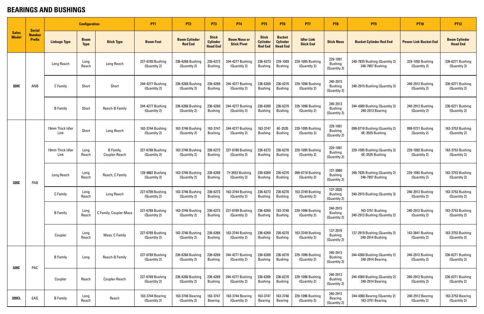#### **BEARINGS AND BUSHINGS**

| <b>Sales</b><br><b>Model</b> |                                                 |                          | <b>Configuration</b>       |                            | <b>PT1</b>                       | PT <sub>2</sub>                        | PT <sub>3</sub>                                    | <b>PT4</b>                                | PT <sub>5</sub>                                   | P <sub>T6</sub>                                     | PT <sub>7</sub>                       | PT <sub>8</sub>                            | PT <sub>9</sub>                                   | <b>PT10</b>                      | <b>PT12</b>                             |
|------------------------------|-------------------------------------------------|--------------------------|----------------------------|----------------------------|----------------------------------|----------------------------------------|----------------------------------------------------|-------------------------------------------|---------------------------------------------------|-----------------------------------------------------|---------------------------------------|--------------------------------------------|---------------------------------------------------|----------------------------------|-----------------------------------------|
|                              | <b>Serial</b><br><b>Number</b><br><b>Prefix</b> | <b>Linkage Type</b>      | <b>Boom</b><br><b>Type</b> | <b>Stick Type</b>          | <b>Boom Foot</b>                 | <b>Boom Cylinder</b><br><b>Rod End</b> | <b>Stick</b><br><b>Cylinder</b><br><b>Head End</b> | <b>Boom Nose or</b><br><b>Stick Pivot</b> | <b>Stick</b><br><b>Cylinder</b><br><b>Rod End</b> | <b>Bucket</b><br><b>Cylinder</b><br><b>Head End</b> | <b>Idler Link</b><br><b>Stick End</b> | <b>Stick Nose</b>                          | <b>Bucket Cylinder Rod End</b>                    | <b>Power Link Bucket End</b>     | <b>Boom Cylinder</b><br><b>Head End</b> |
|                              |                                                 | Long Reach               | Long<br>Reach              | Long Reach                 | 227-6789 Bushing<br>(Quantity 2) | 236-6268 Bushing<br>(Quantity 2)       | 236-6273<br><b>Bushing</b>                         | 244-4277 Bushing<br>(Quantity 2)          | 236-6273<br><b>Bushing</b>                        | 229-1009<br><b>Bushing</b>                          | 229-1095 Bushing<br>(Quantity 2)      | 229-1091<br><b>Bushing</b><br>(Quantity 2) | 248-7835 Bushing (Quantity 2)<br>248-7857 Bushing | 229-1092 Bushing<br>(Quantity 2) | 236-6271 Bushing<br>(Quantity 2)        |
| 320C                         | ANB                                             | C Family                 | Short                      | Short                      | 244-4277 Bushing<br>(Quantity 2) | 236-6268 Bushing<br>(Quantity 2)       | 236-6269<br><b>Bushing</b>                         | 244-4277 Bushing<br>(Quantity 2)          | 236-6269<br><b>Bushing</b>                        | 236-6270<br><b>Bushing</b>                          | 229-1096 Bushing<br>(Quantity 2)      | 240-2915<br><b>Bushing</b><br>(Quantity 2) | 240-2915 Bushing (Quantity 3)                     | 240-2912 Bushing<br>(Quantity 2) | 236-6271 Bushing<br>(Quantity 2)        |
|                              |                                                 | <b>B</b> Family          | Short                      | Reach-B Family             | 244-4277 Bushing<br>(Quantity 2) | 236-6268 Bushing<br>(Quantity 2)       | 236-6269<br><b>Bushing</b>                         | 244-4277 Bushing<br>(Quantity 2)          | 236-6269<br><b>Bushing</b>                        | 236-6270<br><b>Bushing</b>                          | 229-1096 Bushing<br>(Quantity 2)      | 240-2913<br><b>Bushing</b><br>(Quantity 2) | 244-4360 Bushing (Quantity 2)<br>240-2913 Bearing | 240-2912 Bushing<br>(Quantity 2) | 236-6271 Bushing<br>(Quantity 2)        |
|                              |                                                 | 19mm Thick Idler<br>Link | Short                      | Long Reach                 | 163-3744 Bushing<br>(Quantity 2) | 163-3746 Bushing<br>(Quantity 2)       | 163-3747<br><b>Bushing</b>                         | 244-4277 Bushing<br>(Quantity 2)          | 163-3747<br><b>Bushing</b>                        | 6E-3535<br><b>Bushing</b>                           | 229-1095 Bushing<br>(Quantity 2)      | 229-1091<br><b>Bushing</b><br>(Quantity 2) | 099-0718 Bushing (Quantity 2)<br>6E-3535 Bushing  | 099-0721 Bushing<br>(Quantity 2) | 163-3753 Bushing<br>(Quantity 2)        |
|                              | PAB                                             | 19mm Thick Idler<br>Link | Long<br>Reach              | B Family,<br>Coupler-Reach | 227-6789 Bushing<br>(Quantity 2) | 163-3746 Bushing<br>(Quantity 2)       | 236-6273<br><b>Bushing</b>                         | 227-6789 Bushing<br>(Quantity 2)          | 236-6273<br><b>Bushing</b>                        | 236-6270<br><b>Bushing</b>                          | 229-1095 Bushing<br>(Quantity 2)      | 229-1091<br><b>Bushing</b><br>(Quantity 2) | 229-1095 Bushing (Quantity 2)<br>6E-3535 Bushing  | 229-1092 Bushing<br>(Quantity 2) | 163-3753 Bushing<br>(Quantity 2)        |
| 320C                         |                                                 | Long Reach               | Long<br>Reach              | Reach, C Family            | 128-9882 Bushing<br>(Quantity 2) | 163-3746 Bushing<br>(Quantity 2)       | 236-6269<br><b>Bushing</b>                         | 7Y-3553 Bushing<br>(Quantity 2)           | 236-6269<br><b>Bushing</b>                        | 236-6270<br><b>Bushing</b>                          | 099-0718 Bushing<br>(Quantity 2)      | 137-3060<br><b>Bushing</b><br>(Quantity 2) | 248-7835 Bushing (Quantity 2)<br>248-7857 Bushing | 229-1092 Bushing<br>(Quantity 2) | 163-3753 Bushing<br>(Quantity 2)        |
|                              |                                                 | C Family                 | Long<br>Reach              | Long Reach                 | 227-6789 Bushing<br>(Quantity 2) | 163-3746 Bushing<br>(Quantity 2)       | 236-6273<br><b>Bushing</b>                         | 163-3744 Bushing<br>(Quantity 2)          | 236-6273<br><b>Bushing</b>                        | 236-6270<br><b>Bushing</b>                          | 163-3749 Bushing<br>(Quantity 2)      | 137-2820<br><b>Bushing</b><br>(Quantity 2) | 240-2915 Bushing (Quantity 3)                     | 240-2912 Bushing<br>(Quantity 2) | 163-3753 Bushing<br>(Quantity 2)        |
|                              |                                                 | <b>B</b> Family          | Long<br>Reach              | C Family, Coupler-Mass     | 227-6789 Bushing<br>(Quantity 2) | 163-3746 Bushing<br>(Quantity 2)       | 236-6273<br><b>Bushing</b>                         | 227-6789 Bushing<br>(Quantity 2)          | 236-6269<br><b>Bushing</b>                        | 163-3748<br><b>Bushing</b>                          | 229-1096 Bushing<br>(Quantity 2)      | 240-2915<br><b>Bushing</b><br>(Quantity 2) | 163-3751 Bushing<br>240-2913 Bushing (Quantity 2) | 240-2912 Bushing<br>(Quantity 2) | 163-3753 Bushing<br>(Quantity 2)        |
|                              |                                                 | Coupler                  | Long<br>Reach              | Mass, C Family             | 227-6789 Bushing<br>(Quantity 2) | 163-3746 Bushing<br>(Quantity 2)       | 236-6269<br><b>Bushing</b>                         | 163-3744 Bushing<br>(Quantity 2)          | 236-6269<br><b>Bushing</b>                        | 236-6270<br><b>Bushing</b>                          | 163-3749 Bushing<br>(Quantity 2)      | 137-2919<br><b>Bushing</b><br>(Quantity 2) | 137-2919 Bushing (Quantity 2)<br>240-2914 Bushing | 143-3841 Bushing<br>(Quantity 2) | 163-3753 Bushing<br>(Quantity 2)        |
| 320C                         | PAC                                             | <b>B</b> Family          | Long                       | Reach-B Family             | 227-6789 Bushing<br>(Quantity 2) | 236-6268 Bushing<br>(Quantity 2)       | 236-6269<br><b>Bushing</b>                         | 244-4277 Bushing<br>(Quantity 2)          | 236-6269<br><b>Bushing</b>                        | 236-6270<br><b>Bushing</b>                          | 229-1096 Bushing<br>(Quantity 2)      | 240-2913<br><b>Bushing</b><br>(Quantity 2) | 244-4360 Bushing (Quantity 2)<br>240-2914 Bearing | 240-2912 Bushing<br>(Quantity 2) | 236-6271 Bushing<br>(Quantity 2)        |
|                              |                                                 | Coupler                  | Reach                      | Coupler-Reach              | 227-6789 Bushing<br>(Quantity 2) | 236-6268 Bushing<br>(Quantity 2)       | 236-6269<br><b>Bushing</b>                         | 244-4277 Bushing<br>(Quantity 2)          | 236-6269<br><b>Bushing</b>                        | 236-6270<br><b>Bushing</b>                          | 229-1096 Bushing<br>(Quantity 2)      | 240-2913<br><b>Bushing</b><br>(Quantity 2) | 244-4360 Bushing (Quantity 2)<br>240-2914 Bearing | 240-2912 Bushing<br>(Quantity 2) | 236-6271 Bushing<br>(Quantity 2)        |
| 320CL                        | EAG                                             | <b>B</b> Family          | Long<br>Reach              | Reach                      | 163-3744 Bearing<br>(Quantity 2) | 163-3746 Bearing<br>(Quantity 2)       | 163-3747<br><b>Bearing</b>                         | 163-3744 Bearing<br>(Quantity 2)          | 163-3747<br><b>Bearing</b>                        | 163-3748<br>Bearing                                 | 229-1096 Bushing<br>(Quantity 2)      | 240-2913<br><b>Bearing</b><br>(Quantity 2) | 244-4360 Bearing (Quantity 2)<br>163-3751 Bearing | 240-2912 Bearing<br>(Quantity 2) | 163-3753 Bearing<br>(Quantity 2)        |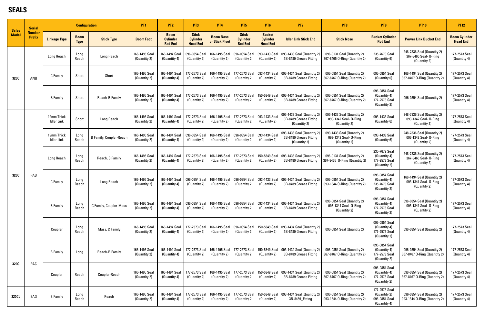#### **SEALS**

| <b>Sales</b> | <b>Serial</b>                  |                                 | <b>Configuration</b>       |                                | <b>PT1</b>                    | PT <sub>2</sub>                                  | PT <sub>3</sub>                                    | <b>PT4</b>                         | PT <sub>5</sub>                                   | <b>PT6</b>                                          | PT7                                                                  | PT <sub>8</sub>                                                                              | PT <sub>9</sub>                                                | <b>PT10</b>                                                         | <b>PT12</b>                             |
|--------------|--------------------------------|---------------------------------|----------------------------|--------------------------------|-------------------------------|--------------------------------------------------|----------------------------------------------------|------------------------------------|---------------------------------------------------|-----------------------------------------------------|----------------------------------------------------------------------|----------------------------------------------------------------------------------------------|----------------------------------------------------------------|---------------------------------------------------------------------|-----------------------------------------|
| <b>Model</b> | <b>Number</b><br><b>Prefix</b> | <b>Linkage Type</b>             | <b>Boom</b><br><b>Type</b> | <b>Stick Type</b>              | <b>Boom Foot</b>              | <b>Boom</b><br><b>Cylinder</b><br><b>Rod End</b> | <b>Stick</b><br><b>Cylinder</b><br><b>Head End</b> | <b>Boom Nose</b><br>or Stick Pivot | <b>Stick</b><br><b>Cylinder</b><br><b>Rod End</b> | <b>Bucket</b><br><b>Cylinder</b><br><b>Head End</b> | <b>Idler Link Stick End</b>                                          | <b>Stick Nose</b>                                                                            | <b>Bucket Cylinder</b><br><b>Rod End</b>                       | <b>Power Link Bucket End</b>                                        | <b>Boom Cylinder</b><br><b>Head End</b> |
|              |                                | <b>Long Reach</b>               | Long<br>Reach              | Long Reach                     | 166-1495 Seal<br>(Quantity 2) | 166-1494 Seal<br>(Quantity 4)                    | 096-0854 Seal<br>(Quantity 2)                      | 166-1495 Seal<br>(Quantity 2)      | 096-0854 Seal<br>(Quantity 2)                     | 093-1433 Seal<br>(Quantity 2)                       | 093-1433 Seal (Quantity 2)<br>3B-8489 Grease Fitting                 | 096-0131 Seal (Quantity 2)<br>367-8465 O-Ring (Quantity 2)                                   | 235-7679 Seal<br>(Quantity 6)                                  | 248-7836 Seal (Quantity 2)<br>367-8465 Seal- 0-Ring<br>(Quantity 2) | 177-2573 Seal<br>(Quantity 4)           |
| 320C         | ANB                            | C Family                        | Short                      | Short                          | 166-1495 Seal<br>(Quantity 2) | 166-1494 Seal<br>(Quantity 4)                    | 177-2573 Seal<br>(Quantity 2)                      | 166-1495 Seal<br>(Quantity 2)      | 177-2573 Seal<br>(Quantity 2)                     | 093-1434 Seal<br>(Quantity 2)                       | 093-1434 Seal (Quantity 2)<br>3B-8489 Grease Fitting                 | 096-0854 Seal (Quantity 2)<br>367-8467 O-Ring (Quantity 2)                                   | 096-0854 Seal<br>(Quantity 6)                                  | 166-1494 Seal (Quantity 2)<br>367-8467 O-Ring (Quantity 2)          | 177-2573 Seal<br>(Quantity 4)           |
|              |                                | <b>B</b> Family                 | Short                      | Reach-B Family                 | 166-1495 Seal<br>(Quantity 2) | 166-1494 Seal<br>(Quantity 4)                    | 177-2573 Seal<br>(Quantity 2)                      | 166-1495 Seal<br>(Quantity 2)      | 177-2573 Seal<br>(Quantity 2)                     | 150-5849 Seal<br>(Quantity 2)                       | 093-1434 Seal (Quantity 2)<br>3B-8489 Grease Fitting                 | 096-0854 Seal (Quantity 2)<br>367-8467 O-Ring (Quantity 2)                                   | 096-0854 Seal<br>(Quantity 4)<br>177-2573 Seal<br>(Quantity 2) | 096-0854 Seal (Quantity 2)                                          | 177-2573 Seal<br>(Quantity 4)           |
|              |                                | 19mm Thick<br>Idler Link        | Short                      | Long Reach                     | 166-1495 Seal<br>(Quantity 2) | 166-1494 Seal<br>(Quantity 4)                    | 177-2573 Seal<br>(Quantity 2)                      | 166-1495 Seal<br>(Quantity 2)      | 177-2573 Seal<br>(Quantity 2)                     | 093-1433 Seal<br>(Quantity 2)                       | 093-1433 Seal (Quantity 2)<br>3B-8489 Grease Fitting<br>(Quantity 2) | 093-1433 Seal (Quantity 2)<br>093-1342 Seal- 0-Ring<br>(Quantity 2)                          | 093-1433 Seal<br>(Quantity 6)                                  | 248-7836 Seal (Quantity 2)<br>093-1342 Seal- 0-Ring<br>(Quantity 2) | 177-2573 Seal<br>(Quantity 4)           |
|              |                                | 19mm Thick<br><b>Idler Link</b> | Long<br>Reach              | <b>B Family, Coupler-Reach</b> | 166-1495 Seal<br>(Quantity 2) | 166-1494 Seal<br>(Quantity 4)                    | 096-0854 Seal<br>(Quantity 2)                      | 166-1495 Seal<br>(Quantity 2)      | 096-0854 Seal<br>(Quantity 2)                     | 093-1434 Seal<br>(Quantity 2)                       | 093-1433 Seal (Quantity 2)<br>3B-8489 Grease Fitting<br>(Quantity 2) | 093-1433 Seal (Quantity 2)<br>093-1342 Seal- 0-Ring<br>(Quantity 2)                          | 093-1433 Seal<br>(Quantity 6)                                  | 248-7836 Seal (Quantity 2)<br>093-1342 Seal- 0-Ring<br>(Quantity 2) | 177-2573 Seal<br>(Quantity 4)           |
|              |                                | Long Reach                      | Long<br>Reach              | Reach, C Family                | 166-1495 Seal<br>(Quantity 2) | 166-1494 Seal<br>(Quantity 4)                    | 177-2573 Seal<br>(Quantity 2)                      | 166-1495 Seal<br>(Quantity 2)      | 177-2573 Seal<br>(Quantity 2)                     | 150-5849 Seal<br>(Quantity 2)                       | 093-1433 Seal (Quantity 2)<br>3B-8489 Grease Fitting                 | 096-0131 Seal (Quantity 2)<br>367-8465 O-Ring (Quantity 2)                                   | 235-7679 Seal<br>(Quantity 4)<br>177-2573 Seal<br>(Quantity 2) | 248-7836 Seal (Quantity 2)<br>367-8465 Seal- 0-Ring<br>(Quantity 2) | 177-2573 Seal<br>(Quantity 4)           |
| 320C         | PAB                            | Long<br>C Family<br>Reach       |                            | Long Reach                     | 166-1495 Seal<br>(Quantity 2) | 166-1494 Seal<br>(Quantity 4)                    | 096-0854 Seal<br>(Quantity 2)                      | 166-1495 Seal<br>(Quantity 2)      | 096-0854 Seal<br>(Quantity 2)                     | 093-1433 Seal<br>(Quantity 2)                       | 093-1434 Seal (Quantity 2)<br>3B-8489 Grease Fitting                 | 096-0854 Seal (Quantity 2)<br>093-1344 O-Ring (Quantity 2)                                   | 096-0854 Seal<br>(Quantity 4)<br>235-7679 Seal<br>(Quantity 2) | 166-1494 Seal (Quantity 2)<br>093-1344 Seal- 0-Ring<br>(Quantity 2) | 177-2573 Seal<br>(Quantity 4)           |
|              |                                | <b>B</b> Family                 | Long<br>Reach              | C Family, Coupler-Mass         | 166-1495 Seal<br>(Quantity 2) | 166-1494 Seal<br>(Quantity 4)                    | 096-0854 Seal<br>(Quantity 2)                      | (Quantity 2)                       | 166-1495 Seal   096-0854 Seal<br>(Quantity 2)     | (Quantity 2)                                        | 093-1434 Seal   093-1434 Seal (Quantity 2)<br>3B-8489 Grease Fitting | 096-0854 Seal (Quantity 2)<br>093-1344 Seal- 0-Ring<br>(Quantity 2)                          | 096-0854 Seal<br>(Quantity 4)<br>177-2573 Seal<br>(Quantity 2) | 096-0854 Seal (Quantity 2)<br>093-1344 Seal- 0-Ring<br>(Quantity 2) | 177-2573 Seal<br>(Quantity 4)           |
|              |                                | Coupler                         | Long<br>Reach              | Mass, C Family                 | 166-1495 Seal<br>(Quantity 2) | 166-1494 Seal<br>(Quantity 4)                    | 177-2573 Seal<br>(Quantity 2)                      | 166-1495 Seal<br>(Quantity 2)      | 096-0854 Seal<br>(Quantity 2)                     | 150-5849 Seal<br>(Quantity 2)                       | 093-1434 Seal (Quantity 2)<br>3B-8489 Grease Fitting                 | 096-0854 Seal (Quantity 2)                                                                   | 096-0854 Seal<br>(Quantity 4)<br>177-2573 Seal<br>(Quantity 2) | 096-0854 Seal (Quantity 2)                                          | 177-2573 Seal<br>(Quantity 4)           |
|              |                                | <b>B</b> Family                 | Long                       | Reach-B Family                 | 166-1495 Seal<br>(Quantity 2) | 166-1494 Seal<br>(Quantity 4)                    | 177-2573 Seal<br>(Quantity 2)                      | 166-1495 Seal<br>(Quantity 2)      | 177-2573 Seal<br>(Quantity 2)                     | 150-5849 Seal<br>(Quantity 2)                       | 093-1434 Seal (Quantity 2)<br>3B-8489 Grease Fitting                 | 096-0854 Seal<br>096-0854 Seal (Quantity 2)<br>367-8467 O-Ring (Quantity 2)<br>177-2573 Seal |                                                                | 096-0854 Seal (Quantity 2)<br>367-8467 O-Ring (Quantity 2)          | 177-2573 Seal<br>(Quantity 4)           |
| 320C         | PAC                            | Coupler                         | Reach                      | Coupler-Reach                  | 166-1495 Seal<br>(Quantity 2) | 166-1494 Seal<br>(Quantity 4)                    | 177-2573 Seal<br>(Quantity 2)                      | 166-1495 Seal<br>(Quantity 2)      | 177-2573 Seal<br>(Quantity 2)                     | 150-5849 Seal<br>(Quantity 2)                       | 093-1434 Seal (Quantity 2)<br>3B-8489 Grease Fitting                 | 096-0854 Seal (Quantity 2)<br>367-8467 O-Ring (Quantity 2)                                   | 096-0854 Seal<br>(Quantity 4)<br>177-2573 Seal<br>(Quantity 2) | 096-0854 Seal (Quantity 2)<br>367-8467 O-Ring (Quantity 2)          | 177-2573 Seal<br>(Quantity 4)           |
| 320CL        | EAG                            | <b>B</b> Family                 | Long<br>Reach              | Reach                          | 166-1495 Seal<br>(Quantity 2) | 166-1494 Seal<br>(Quantity 4)                    | 177-2573 Seal<br>(Quantity 2)                      | 166-1495 Seal<br>(Quantity 2)      | 177-2573 Seal<br>(Quantity 2)                     | (Quantity 2)                                        | 150-5849 Seal   093-1434 Seal (Quantity 2)<br>3B-8489_Fitting        | 096-0854 Seal (Quantity 2)<br>093-1344 O-Ring (Quantity 2)                                   | 177-2573 Seal<br>(Quantity 2)<br>096-0854 Seal<br>(Quantity 4) | 096-0854 Seal (Quantity 2)<br>093-1344 O-Ring (Quantity 2)          | 177-2573 Seal<br>(Quantity 4)           |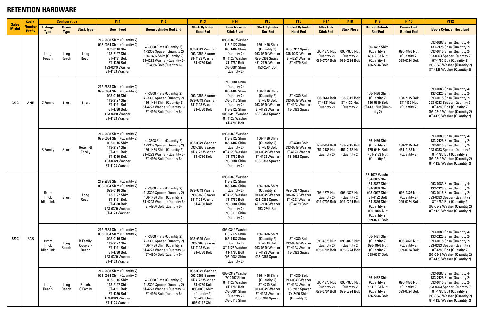#### **RETENTION HARDWARE**

|                              | <b>Serial</b>                  |                                           | <b>Configuration</b>       |                                | PT <sub>1</sub>                                                                                                                                                 | PT <sub>2</sub>                                                                                                                                     | PT <sub>3</sub>                                                                                                                        | <b>PT4</b>                                                                                                                                                            | PT <sub>5</sub>                                                                                         | <b>PT6</b>                                                                                           | <b>PT7</b>                                                                   | PT <sub>8</sub>                              | PT9                                                                                                                                                                                  | <b>PT10</b>                                   | <b>PT12</b>                                                                                                                                                                                                        |
|------------------------------|--------------------------------|-------------------------------------------|----------------------------|--------------------------------|-----------------------------------------------------------------------------------------------------------------------------------------------------------------|-----------------------------------------------------------------------------------------------------------------------------------------------------|----------------------------------------------------------------------------------------------------------------------------------------|-----------------------------------------------------------------------------------------------------------------------------------------------------------------------|---------------------------------------------------------------------------------------------------------|------------------------------------------------------------------------------------------------------|------------------------------------------------------------------------------|----------------------------------------------|--------------------------------------------------------------------------------------------------------------------------------------------------------------------------------------|-----------------------------------------------|--------------------------------------------------------------------------------------------------------------------------------------------------------------------------------------------------------------------|
| <b>Sales</b><br><b>Model</b> | <b>Number</b><br><b>Prefix</b> | <b>Linkage</b><br><b>Type</b>             | <b>Boom</b><br><b>Type</b> | <b>Stick Type</b>              | <b>Boom Foot</b>                                                                                                                                                | <b>Boom Cylinder Rod End</b>                                                                                                                        | <b>Stick Cylinder</b><br><b>Head End</b>                                                                                               | <b>Boom Nose or</b><br><b>Stick Pivot</b>                                                                                                                             | <b>Stick Cylinder</b><br><b>Rod End</b>                                                                 | <b>Bucket Cylinder</b><br><b>Head End</b>                                                            | <b>Idler Link</b><br><b>Stick End</b>                                        | <b>Stick Nose</b>                            | <b>Bucket Cylinder</b><br><b>Rod End</b>                                                                                                                                             | <b>Power Link</b><br><b>Bucket End</b>        | <b>Boom Cylinder Head End</b>                                                                                                                                                                                      |
|                              |                                | Long<br>Reach                             | Long<br>Reach              | Long<br>Reach                  | 212-2838 Shim (Quantity 2)<br>093-0084 Shim (Quantity 2)<br>093-0116 Shim<br>113-2127 Shim<br>8T-4191 Bolt<br>8T-4780 Bolt<br>093-0349 Washer<br>8T-4123 Washer | 4I-3308 Plate (Quantity 2)<br>4I-3309 Spacer (Quantity 2)<br>166-1486 Shim (Quantity 2)<br>8T-4223 Washer (Quantity 6)<br>8T-4956 Bolt (Quantity 6) | 093-0349 Washer<br>093-0363 Spacer<br>8T-4123 Washer<br>8T-4780 Bolt                                                                   | 093-0349 Washer<br>113-2127 Shim<br>166-1487 Shim<br>(Quantity 2)<br>8T-4123 Washer<br>8T-4780 Bolt<br>093-0084 Shim<br>(Quantity 2)                                  | 166-1486 Shim<br>(Quantity 2)<br>093-0349 Washer<br>093-0363 Spacer<br>451-2176 Washer<br>453-2844 Bolt | 093-0357 Spacer<br>086-0297 Washer<br>8T-4223 Washer<br>8T-4179 Bolt                                 | 096-4876 Nut<br>(Quantity 2)<br>099-0707 Bolt   099-0724 Bolt                | 096-4876 Nut<br>(Quantity 2)                 | 166-1482 Shim<br>(Quantity 2)<br>451-2183 Nut<br>(Quantity 2)<br>186-5644 Bolt                                                                                                       | 096-4876 Nut<br>(Quantity 2)<br>099-0724 Bolt | 093-0083 Shim (Quantity 4)<br>133-2425 Shim (Quantity 2)<br>093-0115 Shim (Quantity 2)<br>093-0363 Spacer (Quantity 2)<br>8T-4780 Bolt (Quantity 2)<br>093-0349 Washer (Quantity 2)<br>8T-4123 Washer (Quantity 2) |
| 320C                         | ANB                            | C Family                                  | Short                      | Short                          | 212-2838 Shim (Quantity 2)<br>093-0084 Shim (Quantity 2)<br>093-0116 Shim<br>113-2127 Shim<br>8T-4191 Bolt<br>8T-4780 Bolt<br>093-0349 Washer<br>8T-4123 Washer | 4I-3308 Plate (Quantity 2)<br>4I-3309 Spacer (Quantity 2)<br>166-1486 Shim (Quantity 2)<br>8T-4223 Washer (Quantity 6)<br>8T-4956 Bolt (Quantity 6) | 093-0363 Spacer<br>093-0349 Washer<br>8T-4123 Washer<br>8T-4780 Bolt                                                                   | 093-0084 Shim<br>(Quantity 2)<br>166-1487 Shim<br>(Quantity 2)<br>093-0116 Shim<br>(Quantity 2)<br>113-2127 Shim<br>093-0349 Washer<br>8T-4123 Washer<br>8T-4780 Bolt | 166-1486 Shim<br>(Quantity 2)<br>8T-4780 Bolt<br>093-0349 Washer<br>8T-4123 Washer<br>093-0363 Spacer   | 8T-4780 Bolt<br>093-0349 Washer<br>8T-4123 Washer<br>118-5982 Spacer                                 | 186-5649 Bolt<br>8T-4131 Nut<br>(Quantity 2)                                 | 188-2315 Bolt<br>8T-4132 Nut<br>(Quantity 2) | 166-1486 Shim<br>(Quantity 2)<br>186-5649 Bolt<br>8T-4131 Nut (Quan-<br>tity 2)                                                                                                      | 188-2315 Bolt<br>8T-4132 Nut<br>(Quantity 2)  | 093-0083 Shim (Quantity 4)<br>133-2425 Shim (Quantity 2)<br>093-0115 Shim (Quantity 2)<br>093-0363 Spacer (Quantity 2)<br>8T-4780 Bolt (Quantity 2)<br>093-0349 Washer (Quantity 2)<br>8T-4123 Washer (Quantity 2) |
|                              |                                | <b>B</b> Family                           | Short                      | Reach-B<br>Family              | 212-2838 Shim (Quantity 2)<br>093-0084 Shim (Quantity 2)<br>093-0116 Shim<br>113-2127 Shim<br>8T-4191 Bolt<br>8T-4780 Bolt<br>093-0349 Washer<br>8T-4123 Washer | 4I-3308 Plate (Quantity 2)<br>4I-3309 Spacer (Quantity 2)<br>166-1486 Shim (Quantity 2)<br>8T-4223 Washer (Quantity 6)<br>8T-4956 Bolt (Quantity 6) | 093-0349 Washer<br>093-0363 Spacer<br>8T-4123 Washer<br>8T-4780 Bolt                                                                   | 093-0349 Washer<br>113-2127 Shim<br>166-1487 Shim<br>(Quantity 2)<br>8T-4123 Washer<br>8T-4780 Bolt<br>093-0084 Shim<br>(Quantity 2)                                  | 166-1486 Shim<br>(Quantity 2)<br>8T-4780 Bolt<br>093-0349 Washer<br>8T-4123 Washer<br>093-0363 Spacer   | 8T-4780 Bolt<br>093-0349 Washer<br>8T-4123 Washer<br>118-5982 Spacer                                 | 175-0454 Bolt   188-2315 Bolt<br>451-2183 Nut<br>(Quantity 2)                | 451-2183 Nut<br>(Quantity 2)                 | 166-1486 Shim<br>(Quantity 2)<br>175-0454 Bolt<br>451-2183 Nut<br>(Quantity 2)                                                                                                       | 188-2315 Bolt<br>451-2183 Nut<br>(Quantity 2) | 093-0083 Shim (Quantity 4)<br>133-2425 Shim (Quantity 2)<br>093-0115 Shim (Quantity 2)<br>093-0363 Spacer (Quantity 2)<br>8T-4780 Bolt (Quantity 2)<br>093-0349 Washer (Quantity 2)<br>8T-4123 Washer (Quantity 2) |
|                              |                                | 19mm<br><b>Thick</b><br><b>Idler Link</b> | Short                      | Long<br>Reach                  | 212-2838 Shim (Quantity 2)<br>093-0084 Shim (Quantity 2)<br>093-0116 Shim<br>113-2127 Shim<br>8T-4191 Bolt<br>8T-4780 Bolt<br>093-0349 Washer<br>8T-4123 Washer | 4I-3308 Plate (Quantity 2)<br>4I-3309 Spacer (Quantity 2)<br>166-1486 Shim (Quantity 2)<br>8T-4223 Washer (Quantity 6)<br>8T-4956 Bolt (Quantity 6) | 093-0349 Washer<br>093-0363 Spacer  <br>8T-4123 Washer<br>8T-4780 Bolt                                                                 | 093-0349 Washer<br>113-2127 Shim<br>166-1487 Shim<br>(Quantity 2)<br>8T-4123 Washer<br>8T-4780 Bolt<br>093-0084 Shim<br>(Quantity 2)<br>093-0116 Shim<br>(Quantity 2) | 166-1486 Shim<br>(Quantity 2)<br>093-0349 Washer<br>093-0363 Spacer<br>451-2176 Washer<br>453-2844 Bolt | 093-0357 Spacer<br>086-0297 Washer<br>8T-4223 Washer<br>8T-4179 Bolt                                 | 096-4876 Nut   096-4876 Nut<br>(Quantity 2)<br>099-0707 Bolt   099-0724 Bolt | (Quantity 2)                                 | 5P-1076 Washer<br>134-8865 Shim<br>134-8867 Shim<br>134-8868 Shim<br>093-0097 Shim<br>8T-4192 Bolt<br>134-8866 Shim<br>(Quantity 2)<br>096-4876 Nut<br>(Quantity 2)<br>099-0707 Bolt | 096-4876 Nut<br>(Quantity 2)<br>099-0724 Bolt | 093-0083 Shim (Quantity 4)<br>133-2425 Shim (Quantity 2)<br>093-0115 Shim (Quantity 2)<br>093-0363 Spacer (Quantity 2)<br>8T-4780 Bolt (Quantity 2)<br>093-0349 Washer (Quantity 2)<br>8T-4123 Washer (Quantity 2) |
| 320C                         | PAB                            | 19mm<br>Thick<br><b>Idler Link</b>        | Long<br>Reach              | B Family,<br>Coupler-<br>Reach | 212-2838 Shim (Quantity 2)<br>093-0084 Shim (Quantity 2)<br>093-0116 Shim<br>113-2127 Shim<br>8T-4191 Bolt<br>8T-4780 Bolt<br>093-0349 Washer<br>8T-4123 Washer | 4I-3308 Plate (Quantity 2)<br>41-3309 Spacer (Quantity 2)<br>166-1486 Shim (Quantity 2)<br>8T-4223 Washer (Quantity 6)<br>8T-4956 Bolt (Quantity 6) | 093-0349 Washer<br>093-0363 Spacer<br>8T-4123 Washer<br>8T-4780 Bolt                                                                   | 093-0349 Washer<br>113-2127 Shim<br>166-1487 Shim<br>(Quantity 2)<br>8T-4123 Washer<br>8T-4780 Bolt<br>093-0084 Shim<br>(Quantity 2)                                  | 166-1486 Shim<br>(Quantity 2)<br>8T-4780 Bolt<br>093-0349 Washer<br>8T-4123 Washer<br>093-0363 Spacer   | 8T-4780 Bolt<br>093-0349 Washer<br>8T-4123 Washer<br>118-5982 Spacer                                 | 096-4876 Nut<br>(Quantity 2)<br>099-0707 Bolt   099-0724 Bolt                | 096-4876 Nut<br>(Quantity 2)                 | 166-1481 Shim<br>(Quantity 2)<br>096-4876 Nut<br>(Quantity 2)<br>099-0707 Bolt                                                                                                       | 096-4876 Nut<br>(Quantity 2)<br>099-0724 Bolt | 093-0083 Shim (Quantity 4)<br>133-2425 Shim (Quantity 2)<br>093-0115 Shim (Quantity 2)<br>093-0363 Spacer (Quantity 2)<br>8T-4780 Bolt (Quantity 2)<br>093-0349 Washer (Quantity 2)<br>8T-4123 Washer (Quantity 2) |
|                              |                                | Long<br>Reach                             | Long<br>Reach              | Reach,<br>C Family             | 212-2838 Shim (Quantity 2)<br>093-0084 Shim (Quantity 2)<br>093-0116 Shim<br>113-2127 Shim<br>8T-4191 Bolt<br>8T-4780 Bolt<br>093-0349 Washer<br>8T-4123 Washer | 4I-3308 Plate (Quantity 2)<br>4I-3309 Spacer (Quantity 2)<br>8T-4223 Washer (Quantity 6)<br>8T-4956 Bolt (Quantity 6)                               | 093-0349 Washer<br>093-0363 Spacer<br>8T-4123 Washer<br>8T-4780 Bolt<br>093-0083 Shim<br>(Quantity 2)<br>7Y-2498 Shim<br>093-0115 Shim | 093-0349 Washer<br>7Y-2497 Shim<br>8T-4123 Washer<br>8T-4780 Bolt<br>093-0084 Shim<br>(Quantity 2)<br>093-0116 Shim                                                   | 166-1486 Shim<br>(Quantity 2)<br>8T-4780 Bolt<br>093-0349 Washer<br>8T-4123 Washer<br>093-0363 Spacer   | 8T-4780 Bolt<br>093-0349 Washer<br>8T-4123 Washer<br>118-5982 Spacer<br>7Y-2496 Shim<br>(Quantity 2) | 096-4876 Nut<br>(Quantity 2)<br>099-0707 Bolt   099-0724 Bolt                | 096-4876 Nut<br>(Quantity 2)                 | 166-1482 Shim<br>(Quantity 2)<br>451-2183 Nut<br>(Quantity 2)<br>186-5644 Bolt                                                                                                       | 096-4876 Nut<br>(Quantity 2)<br>099-0724 Bolt | 093-0083 Shim (Quantity 4)<br>133-2425 Shim (Quantity 2)<br>093-0115 Shim (Quantity 2)<br>093-0363 Spacer (Quantity 2)<br>8T-4780 Bolt (Quantity 2)<br>093-0349 Washer (Quantity 2)<br>8T-4123 Washer (Quantity 2) |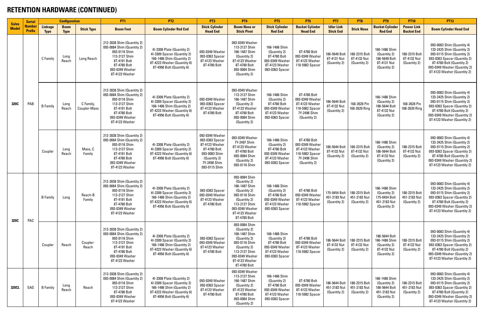#### **RETENTION HARDWARE (CONTINUED)**

| <b>Sales</b> | <b>Serial</b>                 |                               | <b>Configuration</b>       |                                  | <b>PT1</b>                                                                                                                                                      | <b>PT2</b>                                                                                                                                          | PT <sub>3</sub>                                                                                                                        | <b>PT4</b>                                                                                                                                                            | PT <sub>5</sub>                                                                                       | <b>PT6</b>                                                                                           | PT7                                           | PT <sub>8</sub>                                               | PT9                                                                            | <b>PT10</b>                                   | <b>PT12</b>                                                                                                                                                                                                        |
|--------------|-------------------------------|-------------------------------|----------------------------|----------------------------------|-----------------------------------------------------------------------------------------------------------------------------------------------------------------|-----------------------------------------------------------------------------------------------------------------------------------------------------|----------------------------------------------------------------------------------------------------------------------------------------|-----------------------------------------------------------------------------------------------------------------------------------------------------------------------|-------------------------------------------------------------------------------------------------------|------------------------------------------------------------------------------------------------------|-----------------------------------------------|---------------------------------------------------------------|--------------------------------------------------------------------------------|-----------------------------------------------|--------------------------------------------------------------------------------------------------------------------------------------------------------------------------------------------------------------------|
| <b>Model</b> | <b>Numbe</b><br><b>Prefix</b> | <b>Linkage</b><br><b>Type</b> | <b>Boom</b><br><b>Type</b> | <b>Stick Type</b>                | <b>Boom Foot</b>                                                                                                                                                | <b>Boom Cylinder Rod End</b>                                                                                                                        | <b>Stick Cylinder</b><br><b>Head End</b>                                                                                               | <b>Boom Nose or</b><br><b>Stick Pivot</b>                                                                                                                             | <b>Stick Cylinder</b><br><b>Rod End</b>                                                               | <b>Bucket Cylinder</b><br><b>Head End</b>                                                            | <b>Idler Link</b><br><b>Stick End</b>         | <b>Stick Nose</b>                                             | <b>Bucket Cylinder</b><br><b>Rod End</b>                                       | <b>Power Link</b><br><b>Bucket End</b>        | <b>Boom Cylinder Head End</b>                                                                                                                                                                                      |
|              |                               | C Family                      | Long<br>Reach              | Long Reach                       | 212-2838 Shim (Quantity 2)<br>093-0084 Shim (Quantity 2)<br>093-0116 Shim<br>113-2127 Shim<br>8T-4191 Bolt<br>8T-4780 Bolt<br>093-0349 Washer<br>8T-4123 Washer | 4I-3308 Plate (Quantity 2)<br>41-3309 Spacer (Quantity 2)<br>166-1486 Shim (Quantity 2)<br>8T-4223 Washer (Quantity 6)<br>8T-4956 Bolt (Quantity 6) | 093-0349 Washer<br>093-0363 Spacer<br>8T-4123 Washer<br>8T-4780 Bolt                                                                   | 093-0349 Washer<br>113-2127 Shim<br>166-1487 Shim<br>(Quantity 2)<br>8T-4123 Washer<br>8T-4780 Bolt<br>093-0084 Shim<br>(Quantity 2)                                  | 166-1486 Shim<br>(Quantity 2)<br>8T-4780 Bolt<br>093-0349 Washer<br>8T-4123 Washer<br>093-0363 Spacer | 8T-4780 Bolt<br>093-0349 Washer<br>8T-4123 Washer<br>118-5982 Spacer                                 | 186-5649 Bolt<br>8T-4131 Nut<br>(Quantity 2)  | 188-2315 Bolt<br>8T-4132 Nut<br>(Quantity 2)                  | 166-1486 Shim<br>(Quantity 2)<br>186-5649 Bolt<br>8T-4131 Nut<br>(Quantity 2)  | 188-2315 Bolt<br>8T-4132 Nut<br>(Quantity 2)  | 093-0083 Shim (Quantity 4)<br>133-2425 Shim (Quantity 2)<br>093-0115 Shim (Quantity 2)<br>093-0363 Spacer (Quantity 2)<br>8T-4780 Bolt (Quantity 2)<br>093-0349 Washer (Quantity 2)<br>8T-4123 Washer (Quantity 2) |
| 320C         | PAB                           | <b>B</b> Family               | Long<br>Reach              | C Family,<br><b>Coupler-Mass</b> | 212-2838 Shim (Quantity 2)<br>093-0084 Shim (Quantity 2)<br>093-0116 Shim<br>113-2127 Shim<br>8T-4191 Bolt<br>8T-4780 Bolt<br>093-0349 Washer<br>8T-4123 Washer | 4I-3308 Plate (Quantity 2)<br>41-3309 Spacer (Quantity 2)<br>166-1486 Shim (Quantity 2)<br>8T-4223 Washer (Quantity 6)<br>8T-4956 Bolt (Quantity 6) | 093-0349 Washer<br>093-0363 Spacer<br>8T-4123 Washer<br>8T-4780 Bolt                                                                   | 093-0349 Washer<br>113-2127 Shim<br>166-1487 Shim<br>(Quantity 2)<br>8T-4123 Washer<br>8T-4780 Bolt<br>093-0084 Shim<br>(Quantity 2)                                  | 166-1486 Shim<br>(Quantity 2)<br>8T-4780 Bolt<br>093-0349 Washer<br>8T-4123 Washer<br>093-0363 Spacer | 8T-4780 Bolt<br>093-0349 Washer<br>8T-4123 Washer<br>118-5982 Spacer<br>7Y-2496 Shim<br>(Quantity 2) | 186-5644 Bolt<br>8T-4132 Nut<br>(Quantity 2)  | 168-2628 Pin<br>168-2629 Ring                                 | 166-1486 Shim<br>(Quantity 2)<br>186-5644 Bolt<br>8T-4132 Nut<br>(Quantity 2)  | 168-2628 Pin<br>168-2629 Ring                 | 093-0083 Shim (Quantity 4)<br>133-2425 Shim (Quantity 2)<br>093-0115 Shim (Quantity 2)<br>093-0363 Spacer (Quantity 2)<br>8T-4780 Bolt (Quantity 2)<br>093-0349 Washer (Quantity 2)<br>8T-4123 Washer (Quantity 2) |
|              |                               | Coupler                       | Long<br>Reach              | Mass, C<br>Family                | 212-2838 Shim (Quantity 2)<br>093-0084 Shim (Quantity 2)<br>093-0116 Shim<br>113-2127 Shim<br>8T-4191 Bolt<br>8T-4780 Bolt<br>093-0349 Washer<br>8T-4123 Washer | 4I-3308 Plate (Quantity 2)<br>41-3309 Spacer (Quantity 2)<br>8T-4223 Washer (Quantity 6)<br>8T-4956 Bolt (Quantity 6)                               | 093-0349 Washer<br>093-0363 Spacer<br>8T-4123 Washer<br>8T-4780 Bolt<br>093-0083 Shim<br>(Quantity 2)<br>7Y-2498 Shim<br>093-0115 Shim | 093-0349 Washer<br>7Y-2497 Shim<br>8T-4123 Washer<br>8T-4780 Bolt<br>093-0084 Shim<br>(Quantity 2)<br>093-0116 Shim                                                   | 166-1486 Shim<br>(Quantity 2)<br>8T-4780 Bolt<br>093-0349 Washer<br>8T-4123 Washer<br>093-0363 Spacer | 8T-4780 Bolt<br>093-0349 Washer<br>8T-4123 Washer<br>118-5982 Spacer<br>7Y-2496 Shim<br>(Quantity 2) | 186-5644 Bolt<br>8T-4132 Nut<br>(Quantity 2)  | 188-2315 Bolt<br>8T-4132 Nut<br>(Quantity 2)                  | 166-1486 Shim<br>(Quantity 2)<br>186-5644 Bolt<br>8T-4132 Nut<br>(Quantity 2)  | 188-2315 Bolt<br>8T-4132 Nut<br>(Quantity 2)  | 093-0083 Shim (Quantity 4)<br>133-2425 Shim (Quantity 2)<br>093-0115 Shim (Quantity 2)<br>093-0363 Spacer (Quantity 2)<br>8T-4780 Bolt (Quantity 2)<br>093-0349 Washer (Quantity 2)<br>8T-4123 Washer (Quantity 2) |
| 320C         | PAC                           | <b>B</b> Family               | Long                       | Reach-B<br>Family                | 212-2838 Shim (Quantity 2)<br>093-0084 Shim (Quantity 2)<br>093-0116 Shim<br>113-2127 Shim<br>8T-4191 Bolt<br>8T-4780 Bolt<br>093-0349 Washer<br>8T-4123 Washer | 4I-3308 Plate (Quantity 2)<br>41-3309 Spacer (Quantity 2)<br>166-1486 Shim (Quantity 2)<br>8T-4223 Washer (Quantity 6)<br>8T-4956 Bolt (Quantity 6) | 093-0363 Spacer<br>093-0349 Washer<br>8T-4123 Washer<br>8T-4780 Bolt                                                                   | 093-0084 Shim<br>(Quantity 2)<br>166-1487 Shim<br>(Quantity 2)<br>093-0116 Shim<br>(Quantity 2)<br>113-2127 Shim<br>093-0349 Washer<br>8T-4123 Washer<br>8T-4780 Bolt | 166-1486 Shim<br>(Quantity 2)<br>8T-4780 Bolt<br>093-0349 Washer<br>8T-4123 Washer<br>093-0363 Spacer | 8T-4780 Bolt<br>093-0349 Washer<br>8T-4123 Washer<br>118-5982 Spacer                                 | 451-2183 Nut<br>(Quantity 2)                  | 175-0454 Bolt   188-2315 Bolt<br>451-2183 Nut<br>(Quantity 2) | 166-1486 Shim<br>(Quantity 2)<br>175-0454 Bolt<br>451-2183 Nut<br>(Quantity 2) | 188-2315 Bolt<br>451-2183 Nut<br>(Quantity 2) | 093-0083 Shim (Quantity 4)<br>133-2425 Shim (Quantity 2)<br>093-0115 Shim (Quantity 2)<br>093-0363 Spacer (Quantity 2)<br>8T-4780 Bolt (Quantity 2)<br>093-0349 Washer (Quantity 2)<br>8T-4123 Washer (Quantity 2) |
|              |                               | Coupler                       | Reach                      | Coupler-<br>Reach                | 212-2838 Shim (Quantity 2)<br>093-0084 Shim (Quantity 2)<br>093-0116 Shim<br>113-2127 Shim<br>8T-4191 Bolt<br>8T-4780 Bolt<br>093-0349 Washer<br>8T-4123 Washer | 4I-3308 Plate (Quantity 2)<br>41-3309 Spacer (Quantity 2)<br>166-1486 Shim (Quantity 2)<br>8T-4223 Washer (Quantity 6)<br>8T-4956 Bolt (Quantity 6) | 093-0363 Spacer<br>093-0349 Washer<br>8T-4123 Washer<br>8T-4780 Bolt                                                                   | 093-0084 Shim<br>(Quantity 2)<br>166-1487 Shim<br>(Quantity 2)<br>093-0116 Shim<br>(Quantity 2)<br>113-2127 Shim<br>093-0349 Washer<br>8T-4123 Washer<br>8T-4780 Bolt | 166-1486 Shim<br>(Quantity 2)<br>8T-4780 Bolt<br>093-0349 Washer<br>8T-4123 Washer<br>093-0363 Spacer | 8T-4780 Bolt<br>093-0349 Washer<br>8T-4123 Washer<br>118-5982 Spacer                                 | 186-5644 Bolt<br>8T-4132 Nut<br>(Quantity 2)  | 188-2315 Bolt<br>8T-4132 Nut<br>(Quantity 2)                  | 186-5644 Bolt<br>166-1486 Shim<br>(Quantity 2)<br>8T-4132 Nut<br>(Quantity 2)  | 188-2315 Bolt<br>8T-4132 Nut<br>(Quantity 2)  | 093-0083 Shim (Quantity 4)<br>133-2425 Shim (Quantity 2)<br>093-0115 Shim (Quantity 2)<br>093-0363 Spacer (Quantity 2)<br>8T-4780 Bolt (Quantity 2)<br>093-0349 Washer (Quantity 2)<br>8T-4123 Washer (Quantity 2) |
| 320CL        | EAG                           | <b>B</b> Family               | Long<br>Reach              | Reach                            | 212-2838 Shim (Quantity 2)<br>093-0084 Shim (Quantity 2)<br>093-0116 Shim<br>113-2127 Shim<br>8T-4780 Bolt<br>093-0349 Washer<br>8T-4123 Washer                 | 41-3308 Plate (Quantity 2)<br>4I-3309 Spacer (Quantity 2)<br>166-1486 Shim (Quantity 2)<br>8T-4223 Washer (Quantity 6)<br>8T-4956 Bolt (Quantity 6) | 093-0349 Washer<br>093-0363 Spacer<br>8T-4123 Washer<br>8T-4780 Bolt                                                                   | 093-0349 Washer<br>113-2127 Shim<br>166-1487 Shim<br>(Quantity 2)<br>8T-4123 Washer<br>8T-4780 Bolt<br>093-0084 Shim<br>(Quantity 2)                                  | 166-1486 Shim<br>(Quantity 2)<br>8T-4780 Bolt<br>093-0349 Washer<br>8T-4123 Washer<br>093-0363 Spacer | 8T-4780 Bolt<br>093-0349 Washer<br>8T-4123 Washer<br>118-5982 Spacer                                 | 186-5644 Bolt<br>451-2183 Nut<br>(Quantity 2) | 188-2315 Bolt<br>451-2183 Nut<br>(Quantity 2)                 | 166-1486 Shim<br>(Quantity 2)<br>186-5644 Bolt<br>451-2183 Nut<br>(Quantity 2) | 188-2315 Bolt<br>451-2183 Nut<br>(Quantity 2) | 093-0083 Shim (Quantity 4)<br>133-2425 Shim (Quantity 2)<br>093-0115 Shim (Quantity 2)<br>093-0363 Spacer (Quantity 2)<br>8T-4780 Bolt (Quantity 2)<br>093-0349 Washer (Quantity 2)<br>8T-4123 Washer (Quantity 2) |